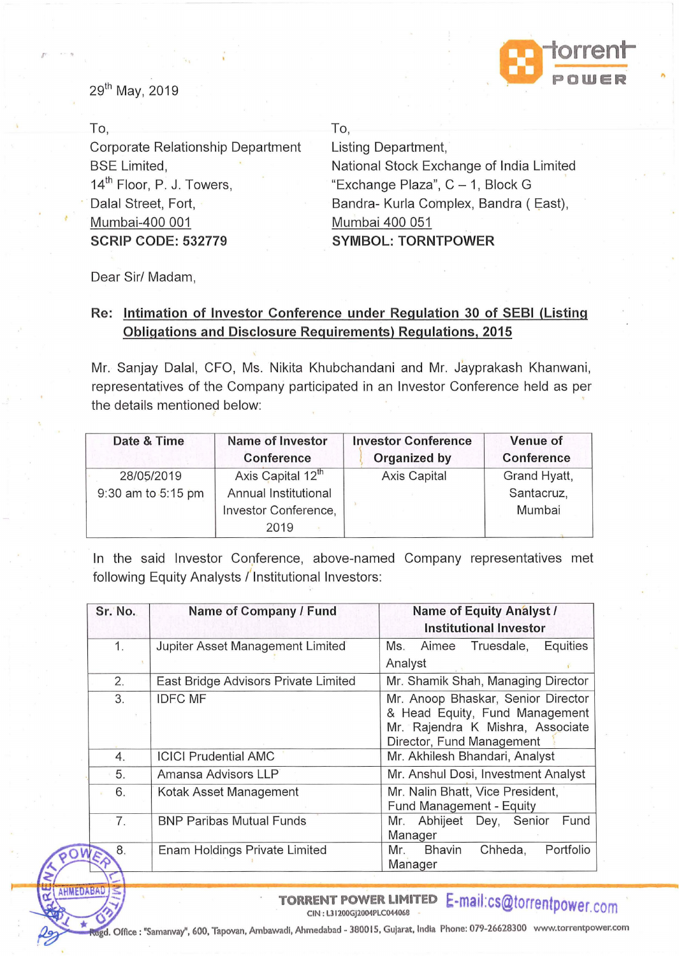

29<sup>th</sup> May, 2019

 $F - P$ 

| To.                                   | To.                                      |
|---------------------------------------|------------------------------------------|
| Corporate Relationship Department     | Listing Department,                      |
| <b>BSE</b> Limited,                   | National Stock Exchange of India Limited |
| 14 <sup>th</sup> Floor, P. J. Towers, | "Exchange Plaza", C - 1, Block G         |
| Dalal Street, Fort,                   | Bandra- Kurla Complex, Bandra (East),    |
| Mumbai-400 001                        | Mumbai 400 051                           |
| <b>SCRIP CODE: 532779</b>             | <b>SYMBOL: TORNTPOWER</b>                |
|                                       |                                          |

Dear Sir/ Madam,

## Re: Intimation of Investor Conference under Regulation 30 of SEBI (Listing Obligations and Disclosure Requirements) Regulations, 2015

Mr. Sanjay Dalal, CFO, Ms. Nikita Khubchandani and Mr. Jayprakash Khanwani, representatives of the Company participated in an Investor Conference held as per the details mentioned below:

| Date & Time        | <b>Name of Investor</b><br>Conference | <b>Investor Conference</b><br>Organized by | Venue of<br><b>Conference</b> |
|--------------------|---------------------------------------|--------------------------------------------|-------------------------------|
| 28/05/2019         | Axis Capital 12 <sup>th</sup>         | Axis Capital                               | Grand Hyatt,                  |
| 9:30 am to 5:15 pm | Annual Institutional                  |                                            | Santacruz,                    |
|                    | Investor Conference,                  |                                            | Mumbai                        |
|                    | 2019                                  |                                            |                               |

In the said Investor Conference, above-named Company representatives met following Equity Analysts / Institutional Investors:

| Sr. No. | Name of Company / Fund               | <b>Name of Equity Analyst /</b><br><b>Institutional Investor</b>                                                                      |
|---------|--------------------------------------|---------------------------------------------------------------------------------------------------------------------------------------|
| 1.      | Jupiter Asset Management Limited     | Equities<br>Ms.<br>Aimee<br>Truesdale,<br>Analyst                                                                                     |
| 2.      | East Bridge Advisors Private Limited | Mr. Shamik Shah, Managing Director                                                                                                    |
| 3.      | <b>IDFC MF</b>                       | Mr. Anoop Bhaskar, Senior Director<br>& Head Equity, Fund Management<br>Mr. Rajendra K Mishra, Associate<br>Director, Fund Management |
| 4.      | <b>ICICI Prudential AMC</b>          | Mr. Akhilesh Bhandari, Analyst                                                                                                        |
| 5.      | Amansa Advisors LLP                  | Mr. Anshul Dosi, Investment Analyst                                                                                                   |
| 6.      | Kotak Asset Management               | Mr. Nalin Bhatt, Vice President,<br>Fund Management - Equity                                                                          |
| 7.      | <b>BNP Paribas Mutual Funds</b>      | Abhijeet Dey, Senior<br>Fund<br>Mr.<br>Manager                                                                                        |
| 8.      | Enam Holdings Private Limited        | Chheda,<br>Portfolio<br><b>Bhavin</b><br>Mr.<br>Manager                                                                               |

ARMEDABADE **TORRENT POWER LIMITED E-mail:cs@torrentpower.com** 

Office : "Samanvay", 600, Tapovan, Ambawadi, Ahmedabad - 380015, Gujarat, India Phone: 079-26628300 www.torrentpower.com